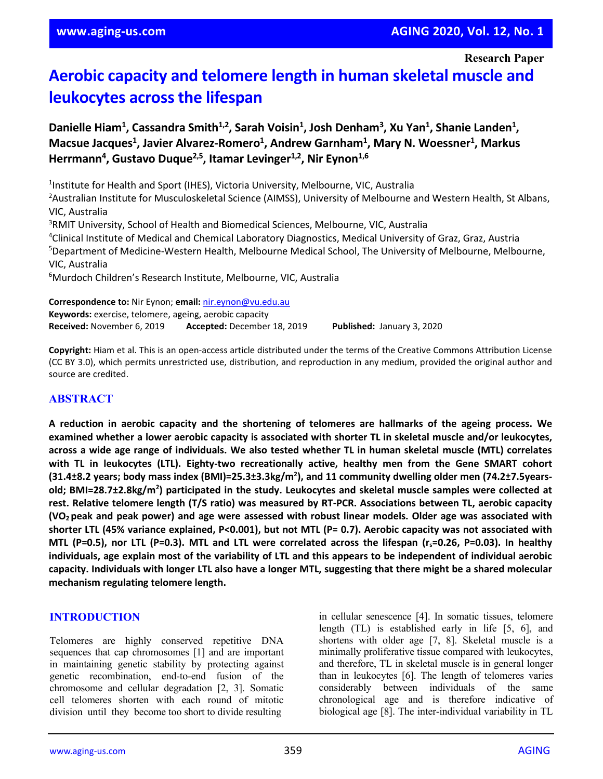# **Aerobic capacity and telomere length in human skeletal muscle and leukocytes across the lifespan**

Danielle Hiam<sup>1</sup>, Cassandra Smith<sup>1,2</sup>, Sarah Voisin<sup>1</sup>, Josh Denham<sup>3</sup>, Xu Yan<sup>1</sup>, Shanie Landen<sup>1</sup>, Macsue Jacques<sup>1</sup>, Javier Alvarez-Romero<sup>1</sup>, Andrew Garnham<sup>1</sup>, Mary N. Woessner<sup>1</sup>, Markus Herrmann<sup>4</sup>, Gustavo Duque<sup>2,5</sup>, Itamar Levinger<sup>1,2</sup>, Nir Eynon<sup>1,6</sup>

<sup>1</sup>Institute for Health and Sport (IHES), Victoria University, Melbourne, VIC, Australia <sup>2</sup>Australian Institute for Musculoskeletal Science (AIMSS), University of Melbourne and Western Health, St Albans, VIC, Australia <sup>3</sup>RMIT University, School of Health and Biomedical Sciences, Melbourne, VIC, Australia 4 Clinical Institute of Medical and Chemical Laboratory Diagnostics, Medical University of Graz, Graz, Austria 5 Department of Medicine-Western Health, Melbourne Medical School, The University of Melbourne, Melbourne, VIC, Australia 6 Murdoch Children's Research Institute, Melbourne, VIC, Australia

**Correspondence to:** Nir Eynon; **email:** [nir.eynon@vu.edu.au](mailto:nir.eynon@vu.edu.au) **Keywords:** exercise, telomere, ageing, aerobic capacity **Received:** November 6, 2019 **Accepted:** December 18, 2019 **Published:** January 3, 2020

**Copyright:** Hiam et al. This is an open-access article distributed under the terms of the Creative Commons Attribution License (CC BY 3.0), which permits unrestricted use, distribution, and reproduction in any medium, provided the original author and source are credited.

## **ABSTRACT**

**A reduction in aerobic capacity and the shortening of telomeres are hallmarks of the ageing process. We examined whether a lower aerobic capacity is associated with shorter TL in skeletal muscle and/or leukocytes,** across a wide age range of individuals. We also tested whether TL in human skeletal muscle (MTL) correlates **with TL in leukocytes (LTL). Eighty-two recreationally active, healthy men from the Gene SMART cohort (31.4±8.2 years; body mass index (BMI)=25.3±3.3kg/m2 ), and 11 community dwelling older men (74.2±7.5yearsold; BMI=28.7±2.8kg/m2 ) participated in the study. Leukocytes and skeletal muscle samples were collected at rest. Relative telomere length (T/S ratio) was measured by RT-PCR. Associations between TL, aerobic capacity** (VO<sub>2</sub> peak and peak power) and age were assessed with robust linear models. Older age was associated with shorter LTL (45% variance explained, P<0.001), but not MTL (P= 0.7). Aerobic capacity was not associated with MTL (P=0.5), nor LTL (P=0.3). MTL and LTL were correlated across the lifespan ( $r_s$ =0.26, P=0.03). In healthy individuals, age explain most of the variability of LTL and this appears to be independent of individual aerobic capacity. Individuals with longer LTL also have a longer MTL, suggesting that there might be a shared molecular **mechanism regulating telomere length.**

## **INTRODUCTION**

Telomeres are highly conserved repetitive DNA sequences that cap chromosomes [1] and are important in maintaining genetic stability by protecting against genetic recombination, end-to-end fusion of the chromosome and cellular degradation [2, 3]. Somatic cell telomeres shorten with each round of mitotic division until they become too short to divide resulting

in cellular senescence [4]. In somatic tissues, telomere length (TL) is established early in life [5, 6], and shortens with older age [7, 8]. Skeletal muscle is a minimally proliferative tissue compared with leukocytes, and therefore, TL in skeletal muscle is in general longer than in leukocytes [6]. The length of telomeres varies considerably between individuals of the same chronological age and is therefore indicative of biological age [8]. The inter-individual variability in TL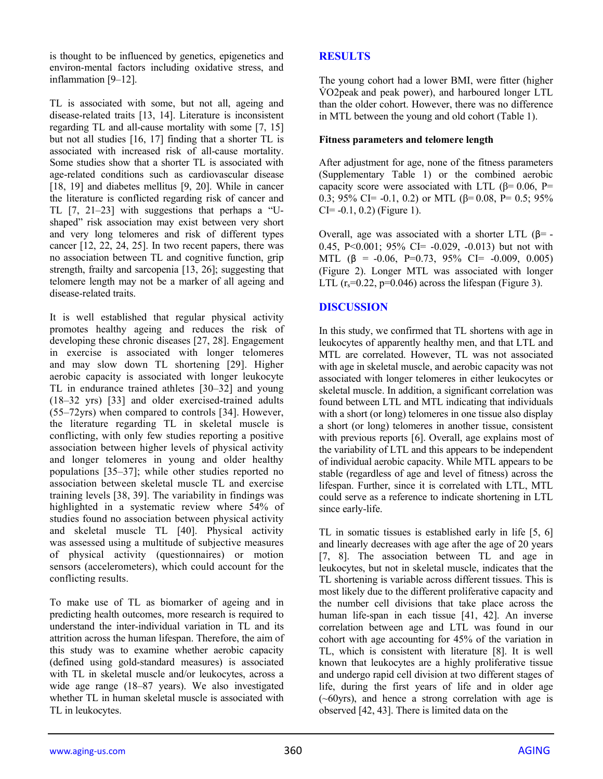is thought to be influenced by genetics, epigenetics and environ-mental factors including oxidative stress, and inflammation [9–12].

TL is associated with some, but not all, ageing and disease-related traits [13, 14]. Literature is inconsistent regarding TL and all-cause mortality with some [7, 15] but not all studies [16, 17] finding that a shorter TL is associated with increased risk of all-cause mortality. Some studies show that a shorter TL is associated with age-related conditions such as cardiovascular disease [18, 19] and diabetes mellitus [9, 20]. While in cancer the literature is conflicted regarding risk of cancer and TL [7, 21–23] with suggestions that perhaps a "Ushaped" risk association may exist between very short and very long telomeres and risk of different types cancer [12, 22, 24, 25]. In two recent papers, there was no association between TL and cognitive function, grip strength, frailty and sarcopenia [13, 26]; suggesting that telomere length may not be a marker of all ageing and disease-related traits.

It is well established that regular physical activity promotes healthy ageing and reduces the risk of developing these chronic diseases [27, 28]. Engagement in exercise is associated with longer telomeres and may slow down TL shortening [29]. Higher aerobic capacity is associated with longer leukocyte TL in endurance trained athletes [30–32] and young (18–32 yrs) [33] and older exercised-trained adults (55–72yrs) when compared to controls [34]. However, the literature regarding TL in skeletal muscle is conflicting, with only few studies reporting a positive association between higher levels of physical activity and longer telomeres in young and older healthy populations [35–37]; while other studies reported no association between skeletal muscle TL and exercise training levels [38, 39]. The variability in findings was highlighted in a systematic review where 54% of studies found no association between physical activity and skeletal muscle TL [40]. Physical activity was assessed using a multitude of subjective measures of physical activity (questionnaires) or motion sensors (accelerometers), which could account for the conflicting results.

To make use of TL as biomarker of ageing and in predicting health outcomes, more research is required to understand the inter-individual variation in TL and its attrition across the human lifespan. Therefore, the aim of this study was to examine whether aerobic capacity (defined using gold-standard measures) is associated with TL in skeletal muscle and/or leukocytes, across a wide age range (18–87 years). We also investigated whether TL in human skeletal muscle is associated with TL in leukocytes.

# **RESULTS**

The young cohort had a lower BMI, were fitter (higher V̇ O2peak and peak power), and harboured longer LTL than the older cohort. However, there was no difference in MTL between the young and old cohort (Table 1).

## **Fitness parameters and telomere length**

After adjustment for age, none of the fitness parameters (Supplementary Table 1) or the combined aerobic capacity score were associated with LTL ( $\beta$ = 0.06, P= 0.3; 95% CI= -0.1, 0.2) or MTL (β= 0.08, P= 0.5; 95%  $CI = -0.1, 0.2$ ) (Figure 1).

Overall, age was associated with a shorter LTL (β= -0.45, P<0.001; 95% CI= -0.029, -0.013) but not with MTL ( $\beta$  = -0.06, P=0.73, 95% CI= -0.009, 0.005) (Figure 2). Longer MTL was associated with longer LTL  $(r_s=0.22, p=0.046)$  across the lifespan (Figure 3).

# **DISCUSSION**

In this study, we confirmed that TL shortens with age in leukocytes of apparently healthy men, and that LTL and MTL are correlated. However, TL was not associated with age in skeletal muscle, and aerobic capacity was not associated with longer telomeres in either leukocytes or skeletal muscle. In addition, a significant correlation was found between LTL and MTL indicating that individuals with a short (or long) telomeres in one tissue also display a short (or long) telomeres in another tissue, consistent with previous reports [6]. Overall, age explains most of the variability of LTL and this appears to be independent of individual aerobic capacity. While MTL appears to be stable (regardless of age and level of fitness) across the lifespan. Further, since it is correlated with LTL, MTL could serve as a reference to indicate shortening in LTL since early-life.

TL in somatic tissues is established early in life [5, 6] and linearly decreases with age after the age of 20 years [7, 8]. The association between TL and age in leukocytes, but not in skeletal muscle, indicates that the TL shortening is variable across different tissues. This is most likely due to the different proliferative capacity and the number cell divisions that take place across the human life-span in each tissue [41, 42]. An inverse correlation between age and LTL was found in our cohort with age accounting for 45% of the variation in TL, which is consistent with literature [8]. It is well known that leukocytes are a highly proliferative tissue and undergo rapid cell division at two different stages of life, during the first years of life and in older age (~60yrs), and hence a strong correlation with age is observed [42, 43]. There is limited data on the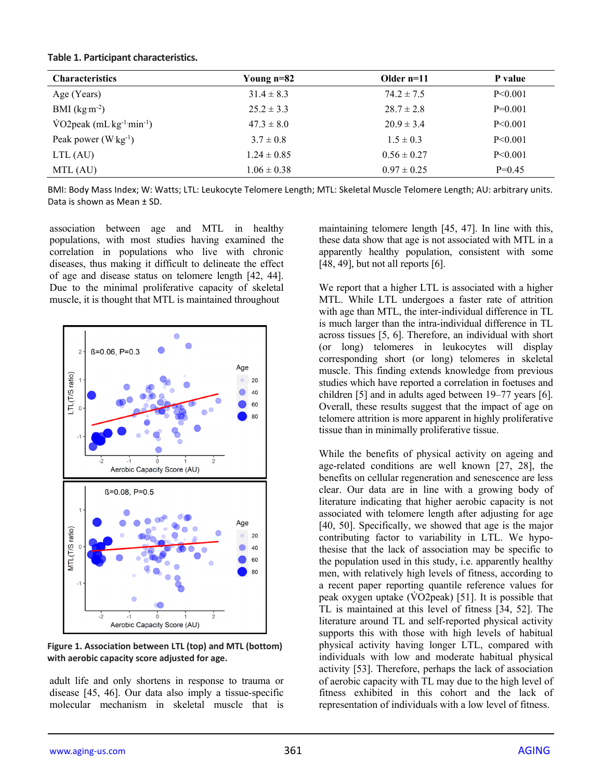|  |  | Table 1. Participant characteristics. |
|--|--|---------------------------------------|
|--|--|---------------------------------------|

| <b>Characteristics</b>                                    | Young n=82      | Older $n=11$    | P value   |
|-----------------------------------------------------------|-----------------|-----------------|-----------|
| Age (Years)                                               | $31.4 \pm 8.3$  | $74.2 \pm 7.5$  | P < 0.001 |
| BMI $(kg m-2)$                                            | $25.2 \pm 3.3$  | $28.7 \pm 2.8$  | $P=0.001$ |
| $\text{VO2peak}$ (mL kg <sup>-1</sup> min <sup>-1</sup> ) | $47.3 \pm 8.0$  | $20.9 \pm 3.4$  | P < 0.001 |
| Peak power $(W \text{ kg}^{-1})$                          | $3.7 \pm 0.8$   | $1.5 \pm 0.3$   | P < 0.001 |
| LTL (AU)                                                  | $1.24 \pm 0.85$ | $0.56 \pm 0.27$ | P < 0.001 |
| MTL (AU)                                                  | $1.06 \pm 0.38$ | $0.97 \pm 0.25$ | $P=0.45$  |

BMI: Body Mass Index; W: Watts; LTL: Leukocyte Telomere Length; MTL: Skeletal Muscle Telomere Length; AU: arbitrary units. Data is shown as Mean ± SD.

association between age and MTL in healthy populations, with most studies having examined the correlation in populations who live with chronic diseases, thus making it difficult to delineate the effect of age and disease status on telomere length [42, 44]. Due to the minimal proliferative capacity of skeletal muscle, it is thought that MTL is maintained throughout



**Figure 1. Association between LTL (top) and MTL (bottom) with aerobic capacity score adjusted for age.** 

adult life and only shortens in response to trauma or disease [45, 46]. Our data also imply a tissue-specific molecular mechanism in skeletal muscle that is

maintaining telomere length [45, 47]. In line with this, these data show that age is not associated with MTL in a apparently healthy population, consistent with some  $[48, 49]$ , but not all reports  $[6]$ .

We report that a higher LTL is associated with a higher MTL. While LTL undergoes a faster rate of attrition with age than MTL, the inter-individual difference in TL is much larger than the intra-individual difference in TL across tissues [5, 6]. Therefore, an individual with short (or long) telomeres in leukocytes will display corresponding short (or long) telomeres in skeletal muscle. This finding extends knowledge from previous studies which have reported a correlation in foetuses and children [5] and in adults aged between 19–77 years [6]. Overall, these results suggest that the impact of age on telomere attrition is more apparent in highly proliferative tissue than in minimally proliferative tissue.

While the benefits of physical activity on ageing and age-related conditions are well known [27, 28], the benefits on cellular regeneration and senescence are less clear. Our data are in line with a growing body of literature indicating that higher aerobic capacity is not associated with telomere length after adjusting for age [40, 50]. Specifically, we showed that age is the major contributing factor to variability in LTL. We hypothesise that the lack of association may be specific to the population used in this study, i.e. apparently healthy men, with relatively high levels of fitness, according to a recent paper reporting quantile reference values for peak oxygen uptake  $(\dot{V}O2$  peak) [51]. It is possible that TL is maintained at this level of fitness [34, 52]. The literature around TL and self-reported physical activity supports this with those with high levels of habitual physical activity having longer LTL, compared with individuals with low and moderate habitual physical activity [53]. Therefore, perhaps the lack of association of aerobic capacity with TL may due to the high level of fitness exhibited in this cohort and the lack of representation of individuals with a low level of fitness.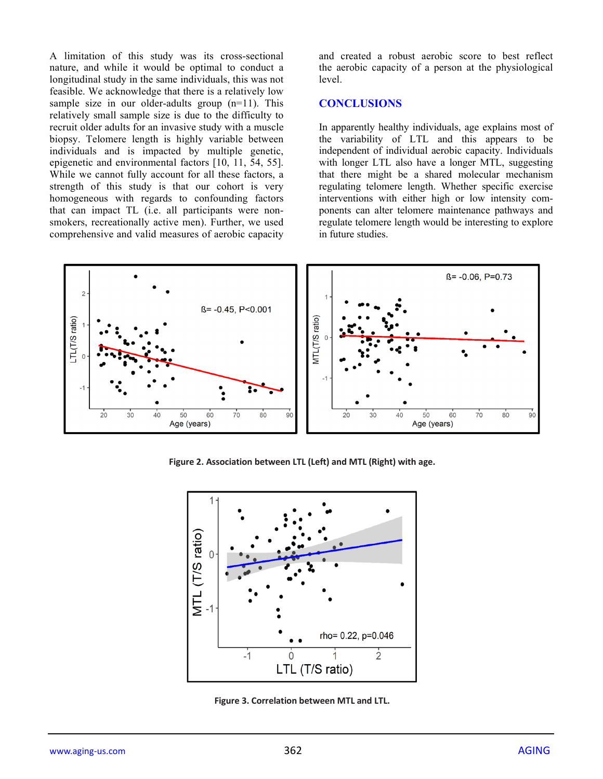A limitation of this study was its cross-sectional nature, and while it would be optimal to conduct a longitudinal study in the same individuals, this was not feasible. We acknowledge that there is a relatively low sample size in our older-adults group (n=11). This relatively small sample size is due to the difficulty to recruit older adults for an invasive study with a muscle biopsy. Telomere length is highly variable between individuals and is impacted by multiple genetic, epigenetic and environmental factors [10, 11, 54, 55]. While we cannot fully account for all these factors, a strength of this study is that our cohort is very homogeneous with regards to confounding factors that can impact TL (i.e. all participants were nonsmokers, recreationally active men). Further, we used comprehensive and valid measures of aerobic capacity

and created a robust aerobic score to best reflect the aerobic capacity of a person at the physiological level.

## **CONCLUSIONS**

In apparently healthy individuals, age explains most of the variability of LTL and this appears to be independent of individual aerobic capacity. Individuals with longer LTL also have a longer MTL, suggesting that there might be a shared molecular mechanism regulating telomere length. Whether specific exercise interventions with either high or low intensity components can alter telomere maintenance pathways and regulate telomere length would be interesting to explore in future studies.



**Figure 2. Association between LTL (Left) and MTL (Right) with age.**



**Figure 3. Correlation between MTL and LTL.**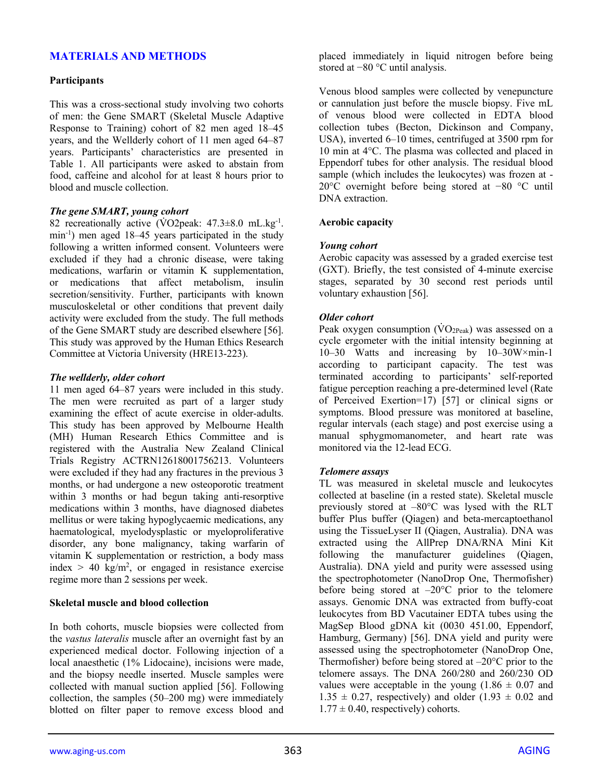# **MATERIALS AND METHODS**

#### **Participants**

This was a cross-sectional study involving two cohorts of men: the Gene SMART (Skeletal Muscle Adaptive Response to Training) cohort of 82 men aged 18–45 years, and the Wellderly cohort of 11 men aged 64–87 years. Participants' characteristics are presented in Table 1. All participants were asked to abstain from food, caffeine and alcohol for at least 8 hours prior to blood and muscle collection.

#### *The gene SMART, young cohort*

82 recreationally active (VO2peak: 47.3±8.0 mL.kg<sup>-1</sup>. min-1 ) men aged 18–45 years participated in the study following a written informed consent. Volunteers were excluded if they had a chronic disease, were taking medications, warfarin or vitamin K supplementation, or medications that affect metabolism, insulin secretion/sensitivity. Further, participants with known musculoskeletal or other conditions that prevent daily activity were excluded from the study. The full methods of the Gene SMART study are described elsewhere [56]. This study was approved by the Human Ethics Research Committee at Victoria University (HRE13-223).

#### *The wellderly, older cohort*

11 men aged 64–87 years were included in this study. The men were recruited as part of a larger study examining the effect of acute exercise in older-adults. This study has been approved by Melbourne Health (MH) Human Research Ethics Committee and is registered with the Australia New Zealand Clinical Trials Registry ACTRN12618001756213. Volunteers were excluded if they had any fractures in the previous 3 months, or had undergone a new osteoporotic treatment within 3 months or had begun taking anti-resorptive medications within 3 months, have diagnosed diabetes mellitus or were taking hypoglycaemic medications, any haematological, myelodysplastic or myeloproliferative disorder, any bone malignancy, taking warfarin of vitamin K supplementation or restriction, a body mass index  $> 40 \text{ kg/m}^2$ , or engaged in resistance exercise regime more than 2 sessions per week.

#### **Skeletal muscle and blood collection**

In both cohorts, muscle biopsies were collected from the *vastus lateralis* muscle after an overnight fast by an experienced medical doctor. Following injection of a local anaesthetic (1% Lidocaine), incisions were made, and the biopsy needle inserted. Muscle samples were collected with manual suction applied [56]. Following collection, the samples (50–200 mg) were immediately blotted on filter paper to remove excess blood and

placed immediately in liquid nitrogen before being stored at −80 °C until analysis.

Venous blood samples were collected by venepuncture or cannulation just before the muscle biopsy. Five mL of venous blood were collected in EDTA blood collection tubes (Becton, Dickinson and Company, USA), inverted 6–10 times, centrifuged at 3500 rpm for 10 min at 4°C. The plasma was collected and placed in Eppendorf tubes for other analysis. The residual blood sample (which includes the leukocytes) was frozen at - 20°C overnight before being stored at −80 °C until DNA extraction.

#### **Aerobic capacity**

#### *Young cohort*

Aerobic capacity was assessed by a graded exercise test (GXT). Briefly, the test consisted of 4-minute exercise stages, separated by 30 second rest periods until voluntary exhaustion [56].

#### *Older cohort*

Peak oxygen consumption  $(\rm{VO}_{2Peak})$  was assessed on a cycle ergometer with the initial intensity beginning at 10–30 Watts and increasing by 10–30W×min-1 according to participant capacity. The test was terminated according to participants' self-reported fatigue perception reaching a pre-determined level (Rate of Perceived Exertion=17) [57] or clinical signs or symptoms. Blood pressure was monitored at baseline, regular intervals (each stage) and post exercise using a manual sphygmomanometer, and heart rate was monitored via the 12-lead ECG.

#### *Telomere assays*

TL was measured in skeletal muscle and leukocytes collected at baseline (in a rested state). Skeletal muscle previously stored at –80°C was lysed with the RLT buffer Plus buffer (Qiagen) and beta-mercaptoethanol using the TissueLyser II (Qiagen, Australia). DNA was extracted using the AllPrep DNA/RNA Mini Kit following the manufacturer guidelines (Qiagen, Australia). DNA yield and purity were assessed using the spectrophotometer (NanoDrop One, Thermofisher) before being stored at  $-20^{\circ}$ C prior to the telomere assays. Genomic DNA was extracted from buffy-coat leukocytes from BD Vacutainer EDTA tubes using the MagSep Blood gDNA kit (0030 451.00, Eppendorf, Hamburg, Germany) [56]. DNA yield and purity were assessed using the spectrophotometer (NanoDrop One, Thermofisher) before being stored at  $-20^{\circ}$ C prior to the telomere assays. The DNA 260/280 and 260/230 OD values were acceptable in the young  $(1.86 \pm 0.07)$  and  $1.35 \pm 0.27$ , respectively) and older  $(1.93 \pm 0.02$  and  $1.77 \pm 0.40$ , respectively) cohorts.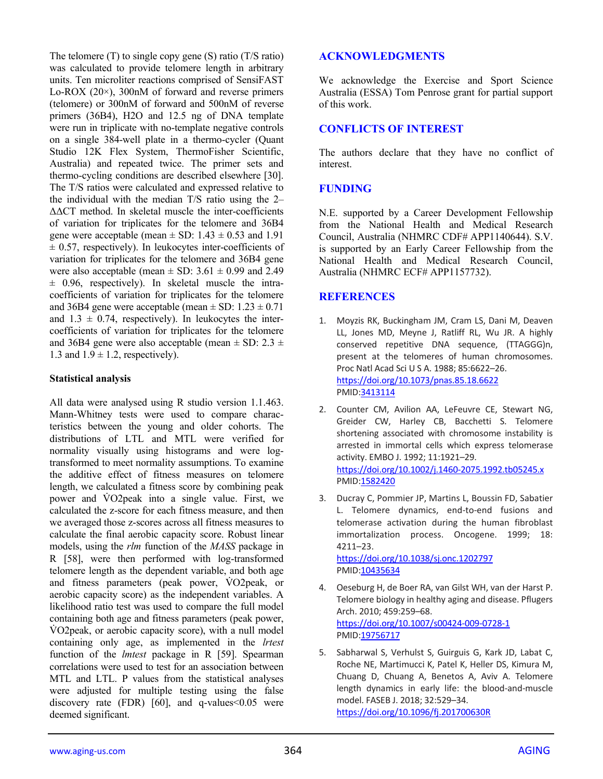The telomere (T) to single copy gene (S) ratio (T/S ratio) was calculated to provide telomere length in arbitrary units. Ten microliter reactions comprised of SensiFAST Lo-ROX (20×), 300nM of forward and reverse primers (telomere) or 300nM of forward and 500nM of reverse primers (36B4), H2O and 12.5 ng of DNA template were run in triplicate with no-template negative controls on a single 384-well plate in a thermo-cycler (Quant Studio 12K Flex System, ThermoFisher Scientific, Australia) and repeated twice. The primer sets and thermo-cycling conditions are described elsewhere [30]. The T/S ratios were calculated and expressed relative to the individual with the median T/S ratio using the 2– ΔΔCT method. In skeletal muscle the inter-coefficients of variation for triplicates for the telomere and 36B4 gene were acceptable (mean  $\pm$  SD: 1.43  $\pm$  0.53 and 1.91  $\pm$  0.57, respectively). In leukocytes inter-coefficients of variation for triplicates for the telomere and 36B4 gene were also acceptable (mean  $\pm$  SD: 3.61  $\pm$  0.99 and 2.49  $\pm$  0.96, respectively). In skeletal muscle the intracoefficients of variation for triplicates for the telomere and 36B4 gene were acceptable (mean  $\pm$  SD: 1.23  $\pm$  0.71 and  $1.3 \pm 0.74$ , respectively). In leukocytes the intercoefficients of variation for triplicates for the telomere and 36B4 gene were also acceptable (mean  $\pm$  SD: 2.3  $\pm$ 1.3 and  $1.9 \pm 1.2$ , respectively).

## **Statistical analysis**

All data were analysed using R studio version 1.1.463. Mann-Whitney tests were used to compare characteristics between the young and older cohorts. The distributions of LTL and MTL were verified for normality visually using histograms and were logtransformed to meet normality assumptions. To examine the additive effect of fitness measures on telomere length, we calculated a fitness score by combining peak power and VO2peak into a single value. First, we calculated the z-score for each fitness measure, and then we averaged those z-scores across all fitness measures to calculate the final aerobic capacity score. Robust linear models, using the *rlm* function of the *MASS* package in R [58], were then performed with log-transformed telomere length as the dependent variable, and both age and fitness parameters (peak power, VO2peak, or aerobic capacity score) as the independent variables. A likelihood ratio test was used to compare the full model containing both age and fitness parameters (peak power, V̇ O2peak, or aerobic capacity score), with a null model containing only age, as implemented in the *lrtest* function of the *lmtest* package in R [59]. Spearman correlations were used to test for an association between MTL and LTL. P values from the statistical analyses were adjusted for multiple testing using the false discovery rate (FDR)  $[60]$ , and q-values < 0.05 were deemed significant.

## **ACKNOWLEDGMENTS**

We acknowledge the Exercise and Sport Science Australia (ESSA) Tom Penrose grant for partial support of this work.

## **CONFLICTS OF INTEREST**

The authors declare that they have no conflict of interest.

## **FUNDING**

N.E. supported by a Career Development Fellowship from the National Health and Medical Research Council, Australia (NHMRC CDF# APP1140644). S.V. is supported by an Early Career Fellowship from the National Health and Medical Research Council, Australia (NHMRC ECF# APP1157732).

## **REFERENCES**

- 1. Moyzis RK, Buckingham JM, Cram LS, Dani M, Deaven LL, Jones MD, Meyne J, Ratliff RL, Wu JR. A highly conserved repetitive DNA sequence, (TTAGGG)n, present at the telomeres of human chromosomes. Proc Natl Acad Sci U S A. 1988; 85:6622–26. <https://doi.org/10.1073/pnas.85.18.6622> PMID[:3413114](https://www.ncbi.nlm.nih.gov/pubmed/3413114)
- 2. Counter CM, Avilion AA, LeFeuvre CE, Stewart NG, Greider CW, Harley CB, Bacchetti S. Telomere shortening associated with chromosome instability is arrested in immortal cells which express telomerase activity. EMBO J. 1992; 11:1921–29. <https://doi.org/10.1002/j.1460-2075.1992.tb05245.x> PMID: 1582420
- 3. Ducray C, Pommier JP, Martins L, Boussin FD, Sabatier L. Telomere dynamics, end-to-end fusions and telomerase activation during the human fibroblast immortalization process. Oncogene. 1999; 18: 4211–23.

<https://doi.org/10.1038/sj.onc.1202797> PMID[:10435634](https://www.ncbi.nlm.nih.gov/pubmed/10435634)

- 4. Oeseburg H, de Boer RA, van Gilst WH, van der Harst P. Telomere biology in healthy aging and disease. Pflugers Arch. 2010; 459:259–68. <https://doi.org/10.1007/s00424-009-0728-1> PMID[:19756717](https://www.ncbi.nlm.nih.gov/pubmed/19756717)
- 5. Sabharwal S, Verhulst S, Guirguis G, Kark JD, Labat C, Roche NE, Martimucci K, Patel K, Heller DS, Kimura M, Chuang D, Chuang A, Benetos A, Aviv A. Telomere length dynamics in early life: the blood-and-muscle model. FASEB J. 2018; 32:529–34. <https://doi.org/10.1096/fj.201700630R>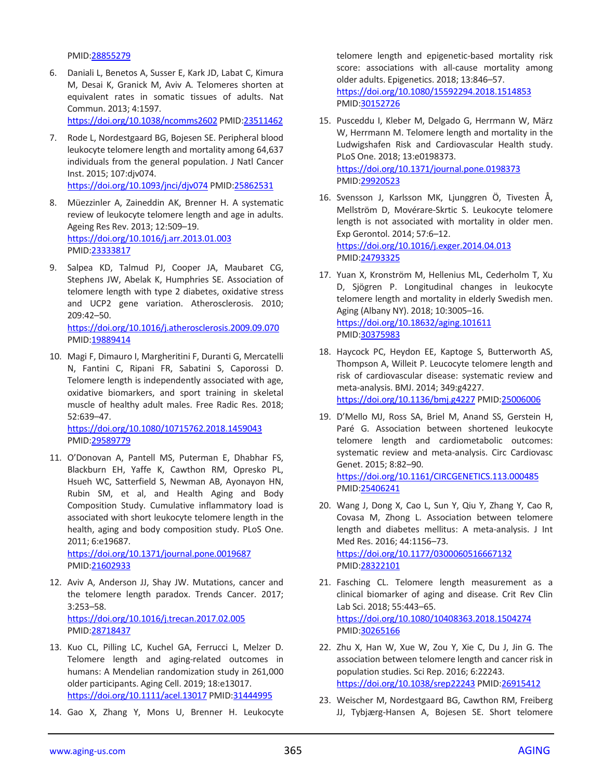#### PMID[:28855279](https://www.ncbi.nlm.nih.gov/pubmed/28855279)

6. Daniali L, Benetos A, Susser E, Kark JD, Labat C, Kimura M, Desai K, Granick M, Aviv A. Telomeres shorten at equivalent rates in somatic tissues of adults. Nat Commun. 2013; 4:1597.

<https://doi.org/10.1038/ncomms2602> PMI[D:23511462](https://www.ncbi.nlm.nih.gov/pubmed/23511462)

- 7. Rode L, Nordestgaard BG, Bojesen SE. Peripheral blood leukocyte telomere length and mortality among 64,637 individuals from the general population. J Natl Cancer Inst. 2015; 107:djv074. <https://doi.org/10.1093/jnci/djv074> PMID[:25862531](https://www.ncbi.nlm.nih.gov/pubmed/25862531)
- 8. Müezzinler A, Zaineddin AK, Brenner H. A systematic review of leukocyte telomere length and age in adults. Ageing Res Rev. 2013; 12:509–19. <https://doi.org/10.1016/j.arr.2013.01.003> PMID[:23333817](https://www.ncbi.nlm.nih.gov/pubmed/23333817)
- 9. Salpea KD, Talmud PJ, Cooper JA, Maubaret CG, Stephens JW, Abelak K, Humphries SE. Association of telomere length with type 2 diabetes, oxidative stress and UCP2 gene variation. Atherosclerosis. 2010; 209:42–50. <https://doi.org/10.1016/j.atherosclerosis.2009.09.070> PMID[:19889414](https://www.ncbi.nlm.nih.gov/pubmed/19889414)
- 10. Magi F, Dimauro I, Margheritini F, Duranti G, Mercatelli N, Fantini C, Ripani FR, Sabatini S, Caporossi D. Telomere length is independently associated with age, oxidative biomarkers, and sport training in skeletal muscle of healthy adult males. Free Radic Res. 2018; 52:639–47.

<https://doi.org/10.1080/10715762.2018.1459043> PMID[:29589779](https://www.ncbi.nlm.nih.gov/pubmed/29589779)

11. O'Donovan A, Pantell MS, Puterman E, Dhabhar FS, Blackburn EH, Yaffe K, Cawthon RM, Opresko PL, Hsueh WC, Satterfield S, Newman AB, Ayonayon HN, Rubin SM, et al, and Health Aging and Body Composition Study. Cumulative inflammatory load is associated with short leukocyte telomere length in the health, aging and body composition study. PLoS One. 2011; 6:e19687.

<https://doi.org/10.1371/journal.pone.0019687> PMID[:21602933](https://www.ncbi.nlm.nih.gov/pubmed/21602933)

- 12. Aviv A, Anderson JJ, Shay JW. Mutations, cancer and the telomere length paradox. Trends Cancer. 2017; 3:253–58. <https://doi.org/10.1016/j.trecan.2017.02.005> PMID[:28718437](https://www.ncbi.nlm.nih.gov/pubmed/28718437)
- 13. Kuo CL, Pilling LC, Kuchel GA, Ferrucci L, Melzer D. Telomere length and aging-related outcomes in humans: A Mendelian randomization study in 261,000 older participants. Aging Cell. 2019; 18:e13017. <https://doi.org/10.1111/acel.13017> PMID[:31444995](https://www.ncbi.nlm.nih.gov/pubmed/31444995)
- 14. Gao X, Zhang Y, Mons U, Brenner H. Leukocyte

telomere length and epigenetic-based mortality risk score: associations with all-cause mortality among older adults. Epigenetics. 2018; 13:846–57. <https://doi.org/10.1080/15592294.2018.1514853> PMID[:30152726](https://www.ncbi.nlm.nih.gov/pubmed/30152726)

- 15. Pusceddu I, Kleber M, Delgado G, Herrmann W, März W, Herrmann M. Telomere length and mortality in the Ludwigshafen Risk and Cardiovascular Health study. PLoS One. 2018; 13:e0198373. <https://doi.org/10.1371/journal.pone.0198373> PMID[:29920523](https://www.ncbi.nlm.nih.gov/pubmed/29920523)
- 16. Svensson J, Karlsson MK, Ljunggren Ö, Tivesten Å, Mellström D, Movérare-Skrtic S. Leukocyte telomere length is not associated with mortality in older men. Exp Gerontol. 2014; 57:6–12. <https://doi.org/10.1016/j.exger.2014.04.013> PMID[:24793325](https://www.ncbi.nlm.nih.gov/pubmed/24793325)
- 17. Yuan X, Kronström M, Hellenius ML, Cederholm T, Xu D, Sjögren P. Longitudinal changes in leukocyte telomere length and mortality in elderly Swedish men. Aging (Albany NY). 2018; 10:3005–16. <https://doi.org/10.18632/aging.101611> PMID[:30375983](https://www.ncbi.nlm.nih.gov/pubmed/30375983)
- 18. Haycock PC, Heydon EE, Kaptoge S, Butterworth AS, Thompson A, Willeit P. Leucocyte telomere length and risk of cardiovascular disease: systematic review and meta-analysis. BMJ. 2014; 349:g4227. <https://doi.org/10.1136/bmj.g4227> PMID[:25006006](https://www.ncbi.nlm.nih.gov/pubmed/25006006)
- 19. D'Mello MJ, Ross SA, Briel M, Anand SS, Gerstein H, Paré G. Association between shortened leukocyte telomere length and cardiometabolic outcomes: systematic review and meta-analysis. Circ Cardiovasc Genet. 2015; 8:82–90. <https://doi.org/10.1161/CIRCGENETICS.113.000485>

PMID[:25406241](https://www.ncbi.nlm.nih.gov/pubmed/25406241)

- 20. Wang J, Dong X, Cao L, Sun Y, Qiu Y, Zhang Y, Cao R, Covasa M, Zhong L. Association between telomere length and diabetes mellitus: A meta-analysis. J Int Med Res. 2016; 44:1156–73. <https://doi.org/10.1177/0300060516667132> PMID[:28322101](https://www.ncbi.nlm.nih.gov/pubmed/28322101)
- 21. Fasching CL. Telomere length measurement as a clinical biomarker of aging and disease. Crit Rev Clin Lab Sci. 2018; 55:443–65. <https://doi.org/10.1080/10408363.2018.1504274> PMID[:30265166](https://www.ncbi.nlm.nih.gov/pubmed/30265166)
- 22. Zhu X, Han W, Xue W, Zou Y, Xie C, Du J, Jin G. The association between telomere length and cancer risk in population studies. Sci Rep. 2016; 6:22243. <https://doi.org/10.1038/srep22243> PMID[:26915412](https://www.ncbi.nlm.nih.gov/pubmed/26915412)
- 23. Weischer M, Nordestgaard BG, Cawthon RM, Freiberg JJ, Tybjærg-Hansen A, Bojesen SE. Short telomere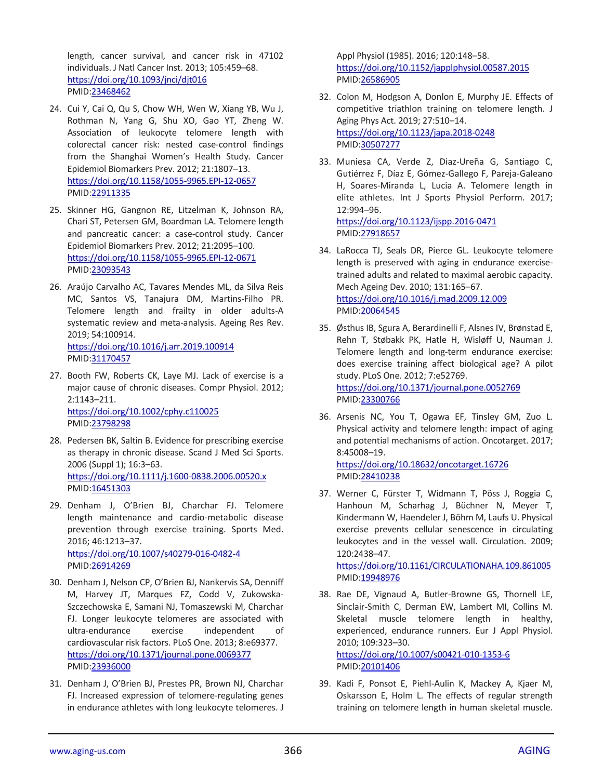length, cancer survival, and cancer risk in 47102 individuals. J Natl Cancer Inst. 2013; 105:459–68. <https://doi.org/10.1093/jnci/djt016> PMID[:23468462](https://www.ncbi.nlm.nih.gov/pubmed/23468462)

- 24. Cui Y, Cai Q, Qu S, Chow WH, Wen W, Xiang YB, Wu J, Rothman N, Yang G, Shu XO, Gao YT, Zheng W. Association of leukocyte telomere length with colorectal cancer risk: nested case-control findings from the Shanghai Women's Health Study. Cancer Epidemiol Biomarkers Prev. 2012; 21:1807–13. <https://doi.org/10.1158/1055-9965.EPI-12-0657> PMID[:22911335](https://www.ncbi.nlm.nih.gov/pubmed/22911335)
- 25. Skinner HG, Gangnon RE, Litzelman K, Johnson RA, Chari ST, Petersen GM, Boardman LA. Telomere length and pancreatic cancer: a case-control study. Cancer Epidemiol Biomarkers Prev. 2012; 21:2095–100. <https://doi.org/10.1158/1055-9965.EPI-12-0671> PMID[:23093543](https://www.ncbi.nlm.nih.gov/pubmed/23093543)
- 26. Araújo Carvalho AC, Tavares Mendes ML, da Silva Reis MC, Santos VS, Tanajura DM, Martins-Filho PR. Telomere length and frailty in older adults-A systematic review and meta-analysis. Ageing Res Rev. 2019; 54:100914. <https://doi.org/10.1016/j.arr.2019.100914>

PMID[:31170457](https://www.ncbi.nlm.nih.gov/pubmed/31170457)

- 27. Booth FW, Roberts CK, Laye MJ. Lack of exercise is a major cause of chronic diseases. Compr Physiol. 2012; 2:1143–211. <https://doi.org/10.1002/cphy.c110025> PMID[:23798298](https://www.ncbi.nlm.nih.gov/pubmed/23798298)
- 28. Pedersen BK, Saltin B. Evidence for prescribing exercise as therapy in chronic disease. Scand J Med Sci Sports. 2006 (Suppl 1); 16:3–63. <https://doi.org/10.1111/j.1600-0838.2006.00520.x> PMID[:16451303](https://www.ncbi.nlm.nih.gov/pubmed/16451303)
- 29. Denham J, O'Brien BJ, Charchar FJ. Telomere length maintenance and cardio-metabolic disease prevention through exercise training. Sports Med. 2016; 46:1213–37. <https://doi.org/10.1007/s40279-016-0482-4> PMID[:26914269](https://www.ncbi.nlm.nih.gov/pubmed/26914269)
- 30. Denham J, Nelson CP, O'Brien BJ, Nankervis SA, Denniff M, Harvey JT, Marques FZ, Codd V, Zukowska-Szczechowska E, Samani NJ, Tomaszewski M, Charchar FJ. Longer leukocyte telomeres are associated with ultra-endurance exercise independent of cardiovascular risk factors. PLoS One. 2013; 8:e69377. <https://doi.org/10.1371/journal.pone.0069377> PMID[:23936000](https://www.ncbi.nlm.nih.gov/pubmed/23936000)
- 31. Denham J, O'Brien BJ, Prestes PR, Brown NJ, Charchar FJ. Increased expression of telomere-regulating genes in endurance athletes with long leukocyte telomeres. J

Appl Physiol (1985). 2016; 120:148–58. <https://doi.org/10.1152/japplphysiol.00587.2015> PMID[:26586905](https://www.ncbi.nlm.nih.gov/pubmed/26586905)

- 32. Colon M, Hodgson A, Donlon E, Murphy JE. Effects of competitive triathlon training on telomere length. J Aging Phys Act. 2019; 27:510–14. <https://doi.org/10.1123/japa.2018-0248> PMID[:30507277](https://www.ncbi.nlm.nih.gov/pubmed/30507277)
- 33. Muniesa CA, Verde Z, Diaz-Ureña G, Santiago C, Gutiérrez F, Díaz E, Gómez-Gallego F, Pareja-Galeano H, Soares-Miranda L, Lucia A. Telomere length in elite athletes. Int J Sports Physiol Perform. 2017; 12:994–96. <https://doi.org/10.1123/ijspp.2016-0471>

PMID[:27918657](https://www.ncbi.nlm.nih.gov/pubmed/27918657)

- 34. LaRocca TJ, Seals DR, Pierce GL. Leukocyte telomere length is preserved with aging in endurance exercisetrained adults and related to maximal aerobic capacity. Mech Ageing Dev. 2010; 131:165–67. <https://doi.org/10.1016/j.mad.2009.12.009> PMID[:20064545](https://www.ncbi.nlm.nih.gov/pubmed/20064545)
- 35. Østhus IB, Sgura A, Berardinelli F, Alsnes IV, Brønstad E, Rehn T, Støbakk PK, Hatle H, Wisløff U, Nauman J. Telomere length and long-term endurance exercise: does exercise training affect biological age? A pilot study. PLoS One. 2012; 7:e52769. <https://doi.org/10.1371/journal.pone.0052769> PMID[:23300766](https://www.ncbi.nlm.nih.gov/pubmed/23300766)
- 36. Arsenis NC, You T, Ogawa EF, Tinsley GM, Zuo L. Physical activity and telomere length: impact of aging and potential mechanisms of action. Oncotarget. 2017; 8:45008–19.

<https://doi.org/10.18632/oncotarget.16726> PMID[:28410238](https://www.ncbi.nlm.nih.gov/pubmed/28410238)

37. Werner C, Fürster T, Widmann T, Pöss J, Roggia C, Hanhoun M, Scharhag J, Büchner N, Meyer T, Kindermann W, Haendeler J, Böhm M, Laufs U. Physical exercise prevents cellular senescence in circulating leukocytes and in the vessel wall. Circulation. 2009; 120:2438–47. <https://doi.org/10.1161/CIRCULATIONAHA.109.861005>

PMID: 19948976

38. Rae DE, Vignaud A, Butler-Browne GS, Thornell LE, Sinclair-Smith C, Derman EW, Lambert MI, Collins M. Skeletal muscle telomere length in healthy, experienced, endurance runners. Eur J Appl Physiol. 2010; 109:323–30.

<https://doi.org/10.1007/s00421-010-1353-6> PMID[:20101406](https://www.ncbi.nlm.nih.gov/pubmed/20101406)

39. Kadi F, Ponsot E, Piehl-Aulin K, Mackey A, Kjaer M, Oskarsson E, Holm L. The effects of regular strength training on telomere length in human skeletal muscle.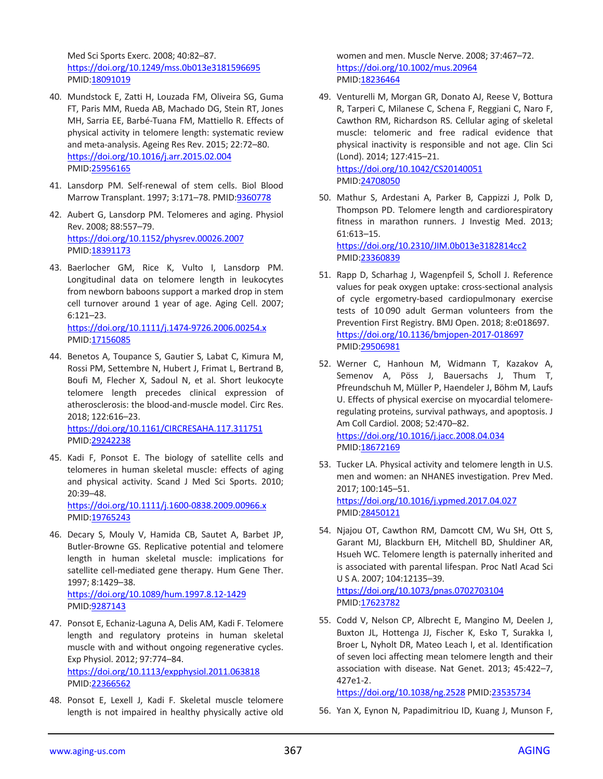Med Sci Sports Exerc. 2008; 40:82–87. <https://doi.org/10.1249/mss.0b013e3181596695> PMID[:18091019](https://www.ncbi.nlm.nih.gov/pubmed/18091019)

- 40. Mundstock E, Zatti H, Louzada FM, Oliveira SG, Guma FT, Paris MM, Rueda AB, Machado DG, Stein RT, Jones MH, Sarria EE, Barbé-Tuana FM, Mattiello R. Effects of physical activity in telomere length: systematic review and meta-analysis. Ageing Res Rev. 2015; 22:72–80. <https://doi.org/10.1016/j.arr.2015.02.004> PMID[:25956165](https://www.ncbi.nlm.nih.gov/pubmed/25956165)
- 41. Lansdorp PM. Self-renewal of stem cells. Biol Blood Marrow Transplant. 1997; 3:171–78. PMI[D:9360778](https://www.ncbi.nlm.nih.gov/pubmed/9360778)
- 42. Aubert G, Lansdorp PM. Telomeres and aging. Physiol Rev. 2008; 88:557–79. <https://doi.org/10.1152/physrev.00026.2007> PMID[:18391173](https://www.ncbi.nlm.nih.gov/pubmed/18391173)
- 43. Baerlocher GM, Rice K, Vulto I, Lansdorp PM. Longitudinal data on telomere length in leukocytes from newborn baboons support a marked drop in stem cell turnover around 1 year of age. Aging Cell. 2007; 6:121–23. <https://doi.org/10.1111/j.1474-9726.2006.00254.x> PMID[:17156085](https://www.ncbi.nlm.nih.gov/pubmed/17156085)
- 44. Benetos A, Toupance S, Gautier S, Labat C, Kimura M, Rossi PM, Settembre N, Hubert J, Frimat L, Bertrand B, Boufi M, Flecher X, Sadoul N, et al. Short leukocyte telomere length precedes clinical expression of atherosclerosis: the blood-and-muscle model. Circ Res. 2018; 122:616–23. <https://doi.org/10.1161/CIRCRESAHA.117.311751> PMID[:29242238](https://www.ncbi.nlm.nih.gov/pubmed/29242238)
- 45. Kadi F, Ponsot E. The biology of satellite cells and telomeres in human skeletal muscle: effects of aging and physical activity. Scand J Med Sci Sports. 2010; 20:39–48. <https://doi.org/10.1111/j.1600-0838.2009.00966.x>

PMID: 19765243

- 46. Decary S, Mouly V, Hamida CB, Sautet A, Barbet JP, Butler-Browne GS. Replicative potential and telomere length in human skeletal muscle: implications for satellite cell-mediated gene therapy. Hum Gene Ther. 1997; 8:1429–38. <https://doi.org/10.1089/hum.1997.8.12-1429> PMID[:9287143](https://www.ncbi.nlm.nih.gov/pubmed/9287143)
- 47. Ponsot E, Echaniz-Laguna A, Delis AM, Kadi F. Telomere length and regulatory proteins in human skeletal muscle with and without ongoing regenerative cycles. Exp Physiol. 2012; 97:774–84. <https://doi.org/10.1113/expphysiol.2011.063818> PMID[:22366562](https://www.ncbi.nlm.nih.gov/pubmed/22366562)
- 48. Ponsot E, Lexell J, Kadi F. Skeletal muscle telomere length is not impaired in healthy physically active old

women and men. Muscle Nerve. 2008; 37:467–72. <https://doi.org/10.1002/mus.20964> PMID[:18236464](https://www.ncbi.nlm.nih.gov/pubmed/18236464)

- 49. Venturelli M, Morgan GR, Donato AJ, Reese V, Bottura R, Tarperi C, Milanese C, Schena F, Reggiani C, Naro F, Cawthon RM, Richardson RS. Cellular aging of skeletal muscle: telomeric and free radical evidence that physical inactivity is responsible and not age. Clin Sci (Lond). 2014; 127:415–21. <https://doi.org/10.1042/CS20140051> PMID[:24708050](https://www.ncbi.nlm.nih.gov/pubmed/24708050)
- 50. Mathur S, Ardestani A, Parker B, Cappizzi J, Polk D, Thompson PD. Telomere length and cardiorespiratory fitness in marathon runners. J Investig Med. 2013; 61:613–15. <https://doi.org/10.2310/JIM.0b013e3182814cc2> PMID[:23360839](https://www.ncbi.nlm.nih.gov/pubmed/23360839)
- 51. Rapp D, Scharhag J, Wagenpfeil S, Scholl J. Reference values for peak oxygen uptake: cross-sectional analysis of cycle ergometry-based cardiopulmonary exercise tests of 10 090 adult German volunteers from the Prevention First Registry. BMJ Open. 2018; 8:e018697. <https://doi.org/10.1136/bmjopen-2017-018697> PMID[:29506981](https://www.ncbi.nlm.nih.gov/pubmed/29506981)
- 52. Werner C, Hanhoun M, Widmann T, Kazakov A, Semenov A, Pöss J, Bauersachs J, Thum T, Pfreundschuh M, Müller P, Haendeler J, Böhm M, Laufs U. Effects of physical exercise on myocardial telomereregulating proteins, survival pathways, and apoptosis. J Am Coll Cardiol. 2008; 52:470–82. <https://doi.org/10.1016/j.jacc.2008.04.034> PMID[:18672169](https://www.ncbi.nlm.nih.gov/pubmed/18672169)
- 53. Tucker LA. Physical activity and telomere length in U.S. men and women: an NHANES investigation. Prev Med. 2017; 100:145–51. <https://doi.org/10.1016/j.ypmed.2017.04.027> PMID[:28450121](https://www.ncbi.nlm.nih.gov/pubmed/28450121)
- 54. Njajou OT, Cawthon RM, Damcott CM, Wu SH, Ott S, Garant MJ, Blackburn EH, Mitchell BD, Shuldiner AR, Hsueh WC. Telomere length is paternally inherited and is associated with parental lifespan. Proc Natl Acad Sci U S A. 2007; 104:12135–39. <https://doi.org/10.1073/pnas.0702703104> PMID[:17623782](https://www.ncbi.nlm.nih.gov/pubmed/17623782)
- 55. Codd V, Nelson CP, Albrecht E, Mangino M, Deelen J, Buxton JL, Hottenga JJ, Fischer K, Esko T, Surakka I, Broer L, Nyholt DR, Mateo Leach I, et al. Identification of seven loci affecting mean telomere length and their association with disease. Nat Genet. 2013; 45:422–7, 427e1-2.

<https://doi.org/10.1038/ng.2528> PMID[:23535734](https://www.ncbi.nlm.nih.gov/pubmed/23535734)

56. Yan X, Eynon N, Papadimitriou ID, Kuang J, Munson F,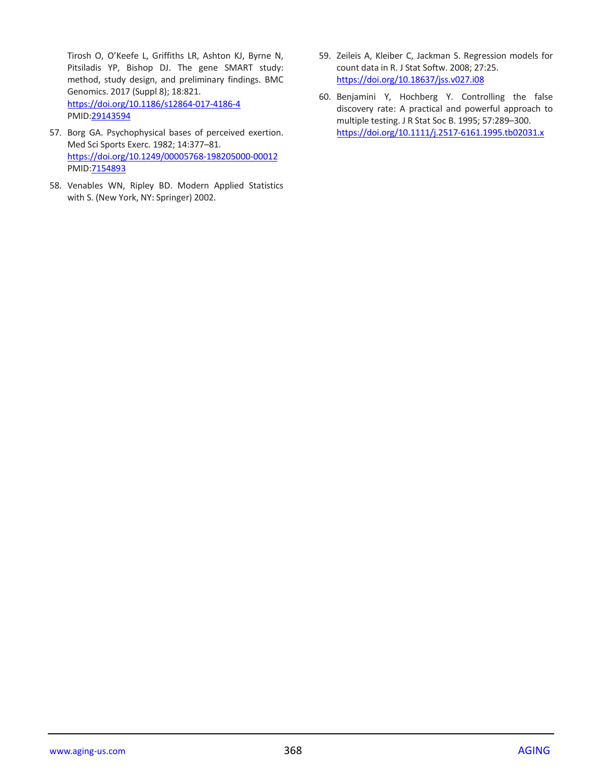Tirosh O, O'Keefe L, Griffiths LR, Ashton KJ, Byrne N, Pitsiladis YP, Bishop DJ. The gene SMART study: method, study design, and preliminary findings. BMC Genomics. 2017 (Suppl 8); 18:821. <https://doi.org/10.1186/s12864-017-4186-4> PMID[:29143594](https://www.ncbi.nlm.nih.gov/pubmed/29143594)

- 57. Borg GA. Psychophysical bases of perceived exertion. Med Sci Sports Exerc. 1982; 14:377–81. <https://doi.org/10.1249/00005768-198205000-00012> PMID[:7154893](https://www.ncbi.nlm.nih.gov/pubmed/7154893)
- 58. Venables WN, Ripley BD. Modern Applied Statistics with S. (New York, NY: Springer) 2002.
- 59. Zeileis A, Kleiber C, Jackman S. Regression models for count data in R. J Stat Softw. 2008; 27:25. <https://doi.org/10.18637/jss.v027.i08>
- 60. Benjamini Y, Hochberg Y. Controlling the false discovery rate: A practical and powerful approach to multiple testing. J R Stat Soc B. 1995; 57:289–300. <https://doi.org/10.1111/j.2517-6161.1995.tb02031.x>